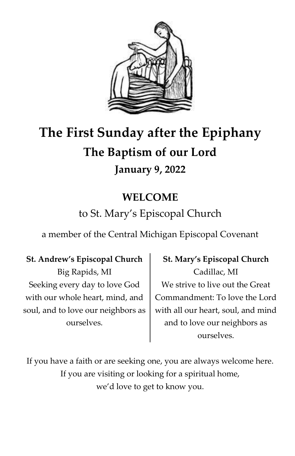

# **The First Sunday after the Epiphany The Baptism of our Lord January 9, 2022**

# **WELCOME**

# to St. Mary's Episcopal Church

a member of the Central Michigan Episcopal Covenant

**St. Andrew's Episcopal Church** Big Rapids, MI Seeking every day to love God with our whole heart, mind, and soul, and to love our neighbors as ourselves.

**St. Mary's Episcopal Church** Cadillac, MI We strive to live out the Great Commandment: To love the Lord with all our heart, soul, and mind and to love our neighbors as ourselves.

If you have a faith or are seeking one, you are always welcome here. If you are visiting or looking for a spiritual home, we'd love to get to know you.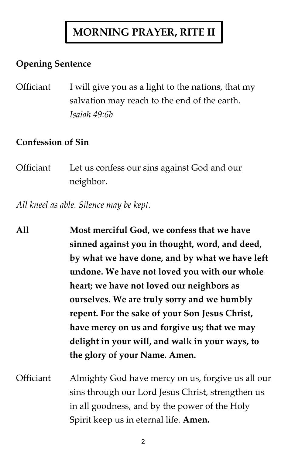# **MORNING PRAYER, RITE II**

## **Opening Sentence**

Officiant I will give you as a light to the nations, that my salvation may reach to the end of the earth. *Isaiah 49:6b*

### **Confession of Sin**

Officiant Let us confess our sins against God and our neighbor.

*All kneel as able. Silence may be kept.*

- **All Most merciful God, we confess that we have sinned against you in thought, word, and deed, by what we have done, and by what we have left undone. We have not loved you with our whole heart; we have not loved our neighbors as ourselves. We are truly sorry and we humbly repent. For the sake of your Son Jesus Christ, have mercy on us and forgive us; that we may delight in your will, and walk in your ways, to the glory of your Name. Amen.** Officiant Almighty God have mercy on us, forgive us all our
	- sins through our Lord Jesus Christ, strengthen us in all goodness, and by the power of the Holy Spirit keep us in eternal life. **Amen.**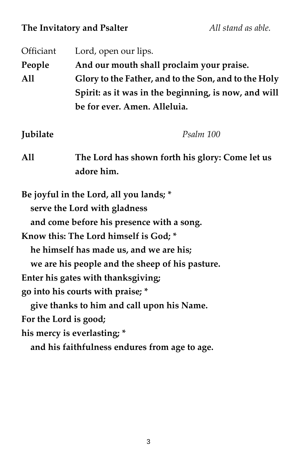## **The Invitatory and Psalter** *All stand as able.*

| Officiant             | Lord, open our lips.                                                                                                 |
|-----------------------|----------------------------------------------------------------------------------------------------------------------|
| People                | And our mouth shall proclaim your praise.                                                                            |
| All                   | Glory to the Father, and to the Son, and to the Holy                                                                 |
|                       | Spirit: as it was in the beginning, is now, and will                                                                 |
|                       | be for ever. Amen. Alleluia.                                                                                         |
| Jubilate              | Psalm 100                                                                                                            |
| A11                   | The Lord has shown forth his glory: Come let us<br>adore him.                                                        |
|                       | Be joyful in the Lord, all you lands; *<br>serve the Lord with gladness<br>and come before his presence with a song. |
|                       | Know this: The Lord himself is God; *                                                                                |
|                       | he himself has made us, and we are his;                                                                              |
|                       | we are his people and the sheep of his pasture.                                                                      |
|                       | Enter his gates with thanksgiving;                                                                                   |
|                       | go into his courts with praise; *                                                                                    |
|                       | give thanks to him and call upon his Name.                                                                           |
| For the Lord is good; |                                                                                                                      |
|                       | his mercy is everlasting; *                                                                                          |
|                       | and his faithfulness endures from age to age.                                                                        |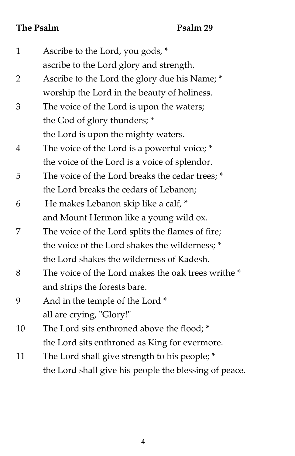## **The Psalm Psalm Psalm** 29

| $\mathbf{1}$ | Ascribe to the Lord, you gods, *                      |
|--------------|-------------------------------------------------------|
|              | ascribe to the Lord glory and strength.               |
| 2            | Ascribe to the Lord the glory due his Name; *         |
|              | worship the Lord in the beauty of holiness.           |
| 3            | The voice of the Lord is upon the waters;             |
|              | the God of glory thunders; *                          |
|              | the Lord is upon the mighty waters.                   |
| 4            | The voice of the Lord is a powerful voice; *          |
|              | the voice of the Lord is a voice of splendor.         |
| 5            | The voice of the Lord breaks the cedar trees; *       |
|              | the Lord breaks the cedars of Lebanon;                |
| 6            | He makes Lebanon skip like a calf, *                  |
|              | and Mount Hermon like a young wild ox.                |
| 7            | The voice of the Lord splits the flames of fire;      |
|              | the voice of the Lord shakes the wilderness; *        |
|              | the Lord shakes the wilderness of Kadesh.             |
| 8            | The voice of the Lord makes the oak trees writhe *    |
|              | and strips the forests bare.                          |
| 9            | And in the temple of the Lord *                       |
|              | all are crying, "Glory!"                              |
| 10           | The Lord sits enthroned above the flood; *            |
|              | the Lord sits enthroned as King for evermore.         |
| 11           | The Lord shall give strength to his people; *         |
|              | the Lord shall give his people the blessing of peace. |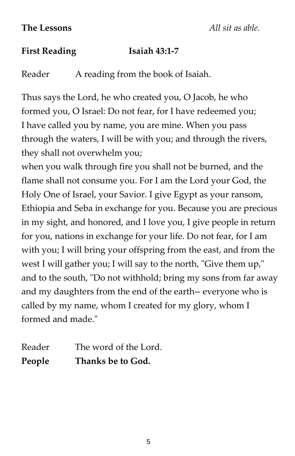#### **First Reading Isaiah 43:1-7**

Reader A reading from the book of Isaiah.

Thus says the Lord, he who created you, O Jacob, he who formed you, O Israel: Do not fear, for I have redeemed you; I have called you by name, you are mine. When you pass through the waters, I will be with you; and through the rivers, they shall not overwhelm you;

when you walk through fire you shall not be burned, and the flame shall not consume you. For I am the Lord your God, the Holy One of Israel, your Savior. I give Egypt as your ransom, Ethiopia and Seba in exchange for you. Because you are precious in my sight, and honored, and I love you, I give people in return for you, nations in exchange for your life. Do not fear, for I am with you; I will bring your offspring from the east, and from the west I will gather you; I will say to the north, "Give them up," and to the south, "Do not withhold; bring my sons from far away and my daughters from the end of the earth-- everyone who is called by my name, whom I created for my glory, whom I formed and made."

Reader The word of the Lord. **People Thanks be to God.** 

5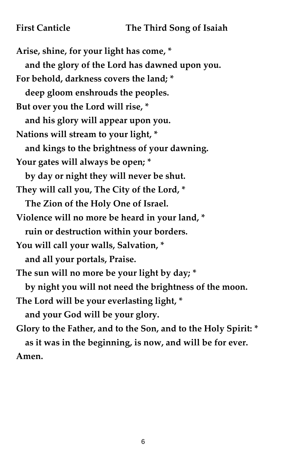**Arise, shine, for your light has come, \* and the glory of the Lord has dawned upon you. For behold, darkness covers the land; \* deep gloom enshrouds the peoples. But over you the Lord will rise, \* and his glory will appear upon you. Nations will stream to your light, \* and kings to the brightness of your dawning. Your gates will always be open; \* by day or night they will never be shut. They will call you, The City of the Lord, \* The Zion of the Holy One of Israel. Violence will no more be heard in your land, \* ruin or destruction within your borders. You will call your walls, Salvation, \* and all your portals, Praise. The sun will no more be your light by day; \* by night you will not need the brightness of the moon. The Lord will be your everlasting light, \* and your God will be your glory. Glory to the Father, and to the Son, and to the Holy Spirit: \* as it was in the beginning, is now, and will be for ever.** 

**Amen.**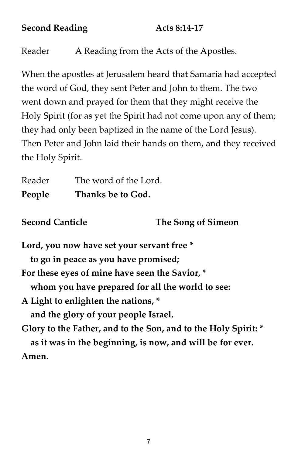#### **Second Reading Acts 8:14-17**

Reader A Reading from the Acts of the Apostles.

When the apostles at Jerusalem heard that Samaria had accepted the word of God, they sent Peter and John to them. The two went down and prayed for them that they might receive the Holy Spirit (for as yet the Spirit had not come upon any of them; they had only been baptized in the name of the Lord Jesus). Then Peter and John laid their hands on them, and they received the Holy Spirit.

Reader The word of the Lord. **People Thanks be to God.** 

**Second Canticle The Song of Simeon**

**Lord, you now have set your servant free \* to go in peace as you have promised; For these eyes of mine have seen the Savior, \* whom you have prepared for all the world to see: A Light to enlighten the nations, \* and the glory of your people Israel. Glory to the Father, and to the Son, and to the Holy Spirit: \* as it was in the beginning, is now, and will be for ever.** 

**Amen.**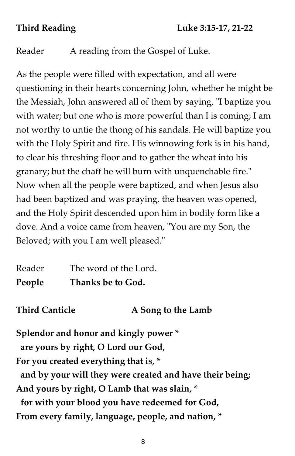Reader A reading from the Gospel of Luke.

As the people were filled with expectation, and all were questioning in their hearts concerning John, whether he might be the Messiah, John answered all of them by saying, "I baptize you with water; but one who is more powerful than I is coming; I am not worthy to untie the thong of his sandals. He will baptize you with the Holy Spirit and fire. His winnowing fork is in his hand, to clear his threshing floor and to gather the wheat into his granary; but the chaff he will burn with unquenchable fire." Now when all the people were baptized, and when Jesus also had been baptized and was praying, the heaven was opened, and the Holy Spirit descended upon him in bodily form like a dove. And a voice came from heaven, "You are my Son, the Beloved; with you I am well pleased."

| Reader | The word of the Lord. |
|--------|-----------------------|
| People | Thanks be to God.     |

**Third Canticle A Song to the Lamb**

**Splendor and honor and kingly power \* are yours by right, O Lord our God, For you created everything that is, \* and by your will they were created and have their being; And yours by right, O Lamb that was slain, \* for with your blood you have redeemed for God, From every family, language, people, and nation, \***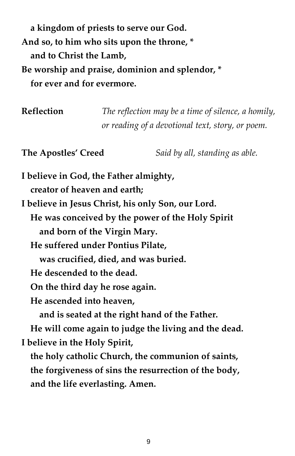**a kingdom of priests to serve our God. And so, to him who sits upon the throne, \* and to Christ the Lamb, Be worship and praise, dominion and splendor, \* for ever and for evermore.**

**Reflection** *The reflection may be a time of silence, a homily, or reading of a devotional text, story, or poem.*

**The Apostles' Creed** *Said by all, standing as able.*

**I believe in God, the Father almighty, creator of heaven and earth; I believe in Jesus Christ, his only Son, our Lord. He was conceived by the power of the Holy Spirit and born of the Virgin Mary. He suffered under Pontius Pilate, was crucified, died, and was buried. He descended to the dead. On the third day he rose again. He ascended into heaven, and is seated at the right hand of the Father. He will come again to judge the living and the dead. I believe in the Holy Spirit, the holy catholic Church, the communion of saints, the forgiveness of sins the resurrection of the body,**

 **and the life everlasting. Amen.**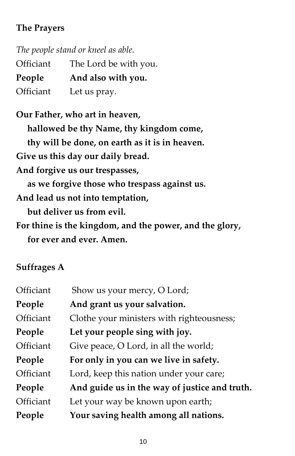## **The Prayers**

|           | The people stand or kneel as able. |
|-----------|------------------------------------|
| Officiant | The Lord be with you.              |
| People    | And also with you.                 |
| Officiant | Let us pray.                       |

**Our Father, who art in heaven, hallowed be thy Name, thy kingdom come, thy will be done, on earth as it is in heaven. Give us this day our daily bread. And forgive us our trespasses, as we forgive those who trespass against us. And lead us not into temptation, but deliver us from evil. For thine is the kingdom, and the power, and the glory, for ever and ever. Amen.**

## **Suffrages A**

| Officiant | Show us your mercy, O Lord;                   |
|-----------|-----------------------------------------------|
| People    | And grant us your salvation.                  |
| Officiant | Clothe your ministers with righteousness;     |
| People    | Let your people sing with joy.                |
| Officiant | Give peace, O Lord, in all the world;         |
| People    | For only in you can we live in safety.        |
| Officiant | Lord, keep this nation under your care;       |
| People    | And guide us in the way of justice and truth. |
| Officiant | Let your way be known upon earth;             |
| People    | Your saving health among all nations.         |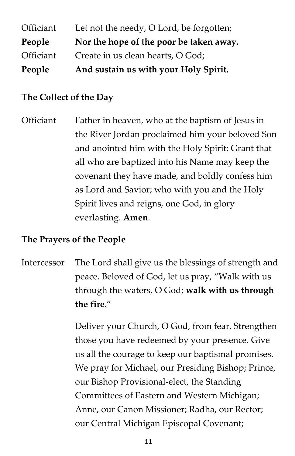| People    | And sustain us with your Holy Spirit.    |
|-----------|------------------------------------------|
| Officiant | Create in us clean hearts, O God;        |
| People    | Nor the hope of the poor be taken away.  |
| Officiant | Let not the needy, O Lord, be forgotten; |

#### **The Collect of the Day**

Officiant Father in heaven, who at the baptism of Jesus in the River Jordan proclaimed him your beloved Son and anointed him with the Holy Spirit: Grant that all who are baptized into his Name may keep the covenant they have made, and boldly confess him as Lord and Savior; who with you and the Holy Spirit lives and reigns, one God, in glory everlasting. **Amen***.*

#### **The Prayers of the People**

Intercessor The Lord shall give us the blessings of strength and peace. Beloved of God, let us pray, "Walk with us through the waters, O God; **walk with us through the fire.**"

> Deliver your Church, O God, from fear. Strengthen those you have redeemed by your presence. Give us all the courage to keep our baptismal promises. We pray for Michael, our Presiding Bishop; Prince, our Bishop Provisional-elect, the Standing Committees of Eastern and Western Michigan; Anne, our Canon Missioner; Radha, our Rector; our Central Michigan Episcopal Covenant;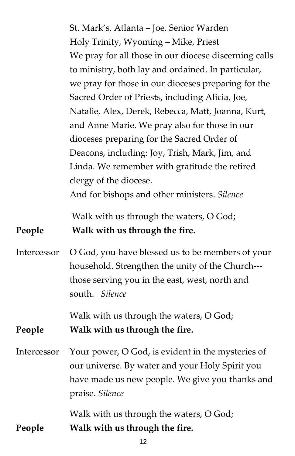|             | St. Mark's, Atlanta - Joe, Senior Warden                                  |
|-------------|---------------------------------------------------------------------------|
|             | Holy Trinity, Wyoming - Mike, Priest                                      |
|             | We pray for all those in our diocese discerning calls                     |
|             | to ministry, both lay and ordained. In particular,                        |
|             | we pray for those in our dioceses preparing for the                       |
|             | Sacred Order of Priests, including Alicia, Joe,                           |
|             | Natalie, Alex, Derek, Rebecca, Matt, Joanna, Kurt,                        |
|             | and Anne Marie. We pray also for those in our                             |
|             | dioceses preparing for the Sacred Order of                                |
|             | Deacons, including: Joy, Trish, Mark, Jim, and                            |
|             | Linda. We remember with gratitude the retired                             |
|             | clergy of the diocese.                                                    |
|             | And for bishops and other ministers. Silence                              |
|             | Walk with us through the waters, O God;                                   |
|             |                                                                           |
| People      | Walk with us through the fire.                                            |
| Intercessor | O God, you have blessed us to be members of your                          |
|             | household. Strengthen the unity of the Church---                          |
|             | those serving you in the east, west, north and<br>south. Silence          |
|             |                                                                           |
| People      | Walk with us through the waters, O God;<br>Walk with us through the fire. |
| Intercessor | Your power, O God, is evident in the mysteries of                         |
|             | our universe. By water and your Holy Spirit you                           |
|             | have made us new people. We give you thanks and<br>praise. Silence        |
|             | Walk with us through the waters, O God;                                   |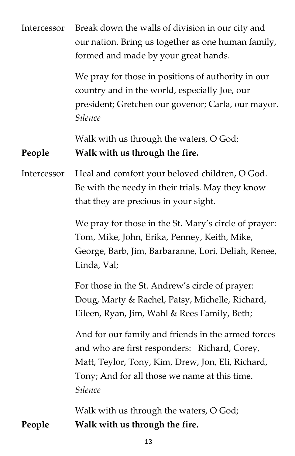| Intercessor | Break down the walls of division in our city and<br>our nation. Bring us together as one human family,<br>formed and made by your great hands.                                                                       |
|-------------|----------------------------------------------------------------------------------------------------------------------------------------------------------------------------------------------------------------------|
|             | We pray for those in positions of authority in our<br>country and in the world, especially Joe, our<br>president; Gretchen our govenor; Carla, our mayor.<br><b>Silence</b>                                          |
| People      | Walk with us through the waters, O God;<br>Walk with us through the fire.                                                                                                                                            |
| Intercessor | Heal and comfort your beloved children, O God.<br>Be with the needy in their trials. May they know<br>that they are precious in your sight.                                                                          |
|             | We pray for those in the St. Mary's circle of prayer:<br>Tom, Mike, John, Erika, Penney, Keith, Mike,<br>George, Barb, Jim, Barbaranne, Lori, Deliah, Renee,<br>Linda, Val;                                          |
|             | For those in the St. Andrew's circle of prayer:<br>Doug, Marty & Rachel, Patsy, Michelle, Richard,<br>Eileen, Ryan, Jim, Wahl & Rees Family, Beth;                                                                   |
|             | And for our family and friends in the armed forces<br>and who are first responders: Richard, Corey,<br>Matt, Teylor, Tony, Kim, Drew, Jon, Eli, Richard,<br>Tony; And for all those we name at this time.<br>Silence |
| People      | Walk with us through the waters, O God;<br>Walk with us through the fire.                                                                                                                                            |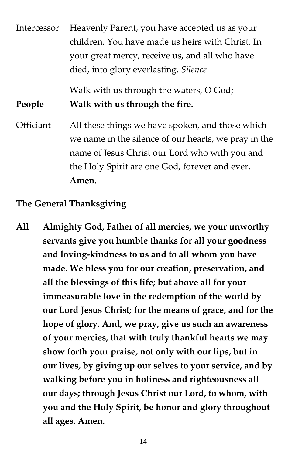| Intercessor | Heavenly Parent, you have accepted us as your        |
|-------------|------------------------------------------------------|
|             | children. You have made us heirs with Christ. In     |
|             | your great mercy, receive us, and all who have       |
|             | died, into glory everlasting. Silence                |
|             | Walk with us through the waters, O God;              |
| People      | Walk with us through the fire.                       |
| Officiant   | All these things we have spoken, and those which     |
|             | we name in the silence of our hearts, we pray in the |
|             | name of Jesus Christ our Lord who with you and       |
|             | the Holy Spirit are one God, forever and ever.       |
|             | Amen.                                                |

#### **The General Thanksgiving**

**All Almighty God, Father of all mercies, we your unworthy servants give you humble thanks for all your goodness and loving-kindness to us and to all whom you have made. We bless you for our creation, preservation, and all the blessings of this life; but above all for your immeasurable love in the redemption of the world by our Lord Jesus Christ; for the means of grace, and for the hope of glory. And, we pray, give us such an awareness of your mercies, that with truly thankful hearts we may show forth your praise, not only with our lips, but in our lives, by giving up our selves to your service, and by walking before you in holiness and righteousness all our days; through Jesus Christ our Lord, to whom, with you and the Holy Spirit, be honor and glory throughout all ages. Amen.**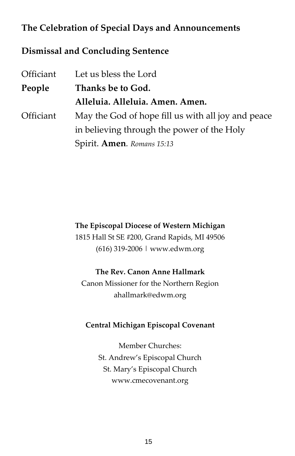### **The Celebration of Special Days and Announcements**

#### **Dismissal and Concluding Sentence**

| Officiant | Let us bless the Lord                              |
|-----------|----------------------------------------------------|
| People    | Thanks be to God.                                  |
|           | Alleluia. Alleluia. Amen. Amen.                    |
| Officiant | May the God of hope fill us with all joy and peace |
|           | in believing through the power of the Holy         |
|           | Spirit. Amen. Romans 15:13                         |

#### **The Episcopal Diocese of Western Michigan**

1815 Hall St SE #200, Grand Rapids, MI 49506 (616) 319-2006 | www.edwm.org

#### **The Rev. Canon Anne Hallmark**

Canon Missioner for the Northern Region ahallmark@edwm.org

#### **Central Michigan Episcopal Covenant**

Member Churches: St. Andrew's Episcopal Church St. Mary's Episcopal Church www.cmecovenant.org